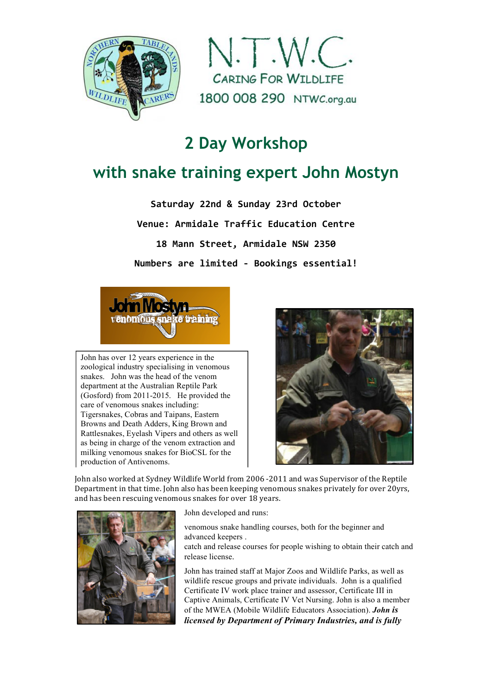



# **2 Day Workshop**

## **with snake training expert John Mostyn**

**Saturday 22nd & Sunday 23rd October Venue: Armidale Traffic Education Centre 18 Mann Street, Armidale NSW 2350 Numbers are limited - Bookings essential!**



John has over 12 years experience in the zoological industry specialising in venomous snakes. John was the head of the venom department at the Australian Reptile Park (Gosford) from 2011-2015. He provided the care of venomous snakes including: Tigersnakes, Cobras and Taipans, Eastern Browns and Death Adders, King Brown and Rattlesnakes, Eyelash Vipers and others as well as being in charge of the venom extraction and milking venomous snakes for BioCSL for the production of Antivenoms.



John also worked at Sydney Wildlife World from 2006 -2011 and was Supervisor of the Reptile Department in that time. John also has been keeping venomous snakes privately for over 20yrs, and has been rescuing venomous snakes for over 18 years.



John developed and runs:

venomous snake handling courses, both for the beginner and advanced keepers .

Ø catch and release courses for people wishing to obtain their catch and release license.

John has trained staff at Major Zoos and Wildlife Parks, as well as wildlife rescue groups and private individuals. John is a qualified Certificate IV work place trainer and assessor, Certificate III in Captive Animals, Certificate IV Vet Nursing. John is also a member of the MWEA (Mobile Wildlife Educators Association). *John is licensed by Department of Primary Industries, and is fully*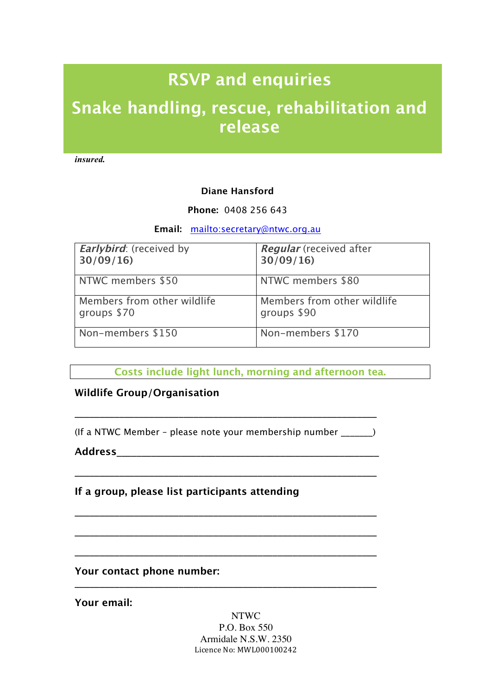# RSVP and enquiries

# Snake handling, rescue, rehabilitation and release

*insured.*

#### **Diane Hansford**

#### **Phone:** 0408 256 643

**Email:** mailto:secretary@ntwc.org.au

| <b>Earlybird:</b> (received by | <b>Regular</b> (received after |
|--------------------------------|--------------------------------|
| 30/09/16                       | 30/09/16                       |
| NTWC members \$50              | NTWC members \$80              |
| Members from other wildlife    | Members from other wildlife    |
| groups \$70                    | groups \$90                    |
| Non-members \$150              | Non-members \$170              |

Costs include light lunch, morning and afternoon tea.

### **Wildlife Group/Organisation**

(If a NTWC Member – please note your membership number \_\_\_\_\_\_\_)

\_\_\_\_\_\_\_\_\_\_\_\_\_\_\_\_\_\_\_\_\_\_\_\_\_\_\_\_\_\_\_\_\_\_\_\_\_\_\_\_\_\_\_\_\_\_\_\_\_\_\_\_\_\_\_\_\_\_\_\_\_

\_\_\_\_\_\_\_\_\_\_\_\_\_\_\_\_\_\_\_\_\_\_\_\_\_\_\_\_\_\_\_\_\_\_\_\_\_\_\_\_\_\_\_\_\_\_\_\_\_\_\_\_\_\_\_\_\_\_\_\_\_

\_\_\_\_\_\_\_\_\_\_\_\_\_\_\_\_\_\_\_\_\_\_\_\_\_\_\_\_\_\_\_\_\_\_\_\_\_\_\_\_\_\_\_\_\_\_\_\_\_\_\_\_\_\_\_\_\_\_\_\_\_

\_\_\_\_\_\_\_\_\_\_\_\_\_\_\_\_\_\_\_\_\_\_\_\_\_\_\_\_\_\_\_\_\_\_\_\_\_\_\_\_\_\_\_\_\_\_\_\_\_\_\_\_\_\_\_\_\_\_\_\_\_

\_\_\_\_\_\_\_\_\_\_\_\_\_\_\_\_\_\_\_\_\_\_\_\_\_\_\_\_\_\_\_\_\_\_\_\_\_\_\_\_\_\_\_\_\_\_\_\_\_\_\_\_\_\_\_\_\_\_\_\_\_

\_\_\_\_\_\_\_\_\_\_\_\_\_\_\_\_\_\_\_\_\_\_\_\_\_\_\_\_\_\_\_\_\_\_\_\_\_\_\_\_\_\_\_\_\_\_\_\_\_\_\_\_\_\_\_\_\_\_\_\_\_

**Address**\_\_\_\_\_\_\_\_\_\_\_\_\_\_\_\_\_\_\_\_\_\_\_\_\_\_\_\_\_\_\_\_\_\_\_\_\_\_\_\_\_\_\_\_\_\_\_\_\_\_\_\_\_

**If a group, please list participants attending**

### **Your contact phone number:**

**Your email:**

NTWC P.O. Box 550 Armidale N.S.W. 2350 Licence No: MWL000100242